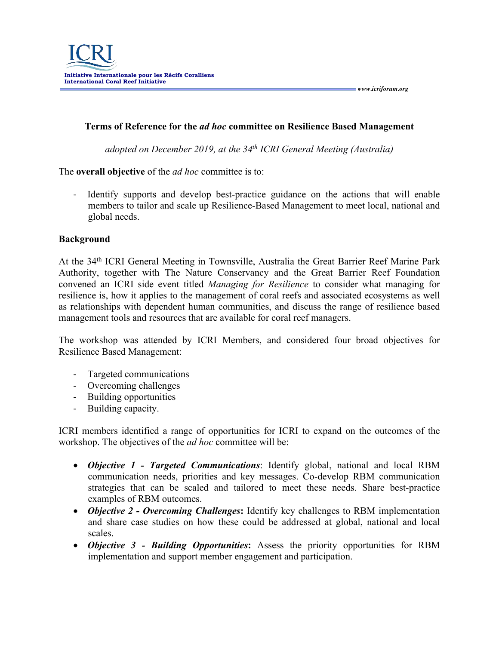## **Terms of Reference for the** *ad hoc* **committee on Resilience Based Management**

*adopted on December 2019, at the 34th ICRI General Meeting (Australia)*

The **overall objective** of the *ad hoc* committee is to:

Identify supports and develop best-practice guidance on the actions that will enable members to tailor and scale up Resilience-Based Management to meet local, national and global needs.

## **Background**

At the 34th ICRI General Meeting in Townsville, Australia the Great Barrier Reef Marine Park Authority, together with The Nature Conservancy and the Great Barrier Reef Foundation convened an ICRI side event titled *Managing for Resilience* to consider what managing for resilience is, how it applies to the management of coral reefs and associated ecosystems as well as relationships with dependent human communities, and discuss the range of resilience based management tools and resources that are available for coral reef managers.

The workshop was attended by ICRI Members, and considered four broad objectives for Resilience Based Management:

- Targeted communications
- Overcoming challenges
- Building opportunities
- Building capacity.

ICRI members identified a range of opportunities for ICRI to expand on the outcomes of the workshop. The objectives of the *ad hoc* committee will be:

- *Objective 1 - Targeted Communications*: Identify global, national and local RBM communication needs, priorities and key messages. Co-develop RBM communication strategies that can be scaled and tailored to meet these needs. Share best-practice examples of RBM outcomes.
- *Objective 2 - Overcoming Challenges***:** Identify key challenges to RBM implementation and share case studies on how these could be addressed at global, national and local scales.
- *Objective 3 - Building Opportunities***:** Assess the priority opportunities for RBM implementation and support member engagement and participation.